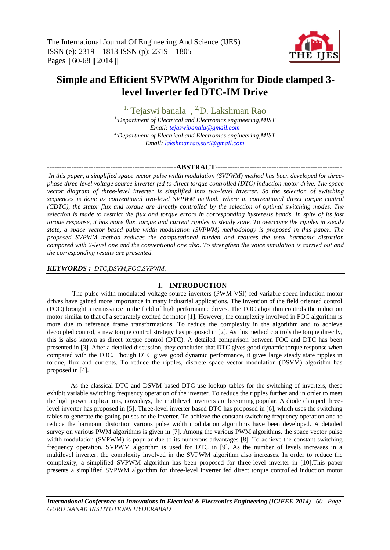

# **Simple and Efficient SVPWM Algorithm for Diode clamped 3 level Inverter fed DTC-IM Drive**

<sup>1,</sup> Tejaswi banala, <sup>2,</sup>D. Lakshman Rao *1,Department of Electrical and Electronics engineering,MIST Email: [tejaswibanala@gmail.com](mailto:tejaswibanala@gmail.com) 2,Department of Electrical and Electronics engineering,MIST Email: [lakshmanrao.suri@gmail.com](mailto:lakshmanrao.suri@gmail.com)*

## **-----------------------------------------------------ABSTRACT----------------------------------------------------**

*In this paper, a simplified space vector pulse width modulation (SVPWM) method has been developed for threephase three-level voltage source inverter fed to direct torque controlled (DTC) induction motor drive. The space vector diagram of three-level inverter is simplified into two-level inverter. So the selection of switching sequences is done as conventional two-level SVPWM method. Where in conventional direct torque control (CDTC), the stator flux and torque are directly controlled by the selection of optimal switching modes. The selection is made to restrict the flux and torque errors in corresponding hysteresis bands. In spite of its fast torque response, it has more flux, torque and current ripples in steady state. To overcome the ripples in steady state, a space vector based pulse width modulation (SVPWM) methodology is proposed in this paper. The proposed SVPWM method reduces the computational burden and reduces the total harmonic distortion compared with 2-level one and the conventional one also. To strengthen the voice simulation is carried out and the corresponding results are presented.*

## *KEYWORDS : DTC,DSVM,FOC,SVPWM.*

## **I. INTRODUCTION**

The pulse width modulated voltage source inverters (PWM-VSI) fed variable speed induction motor drives have gained more importance in many industrial applications. The invention of the field oriented control (FOC) brought a renaissance in the field of high performance drives. The FOC algorithm controls the induction motor similar to that of a separately excited dc motor [1]. However, the complexity involved in FOC algorithm is more due to reference frame transformations. To reduce the complexity in the algorithm and to achieve decoupled control, a new torque control strategy has proposed in [2]. As this method controls the torque directly, this is also known as direct torque control (DTC). A detailed comparison between FOC and DTC has been presented in [3]. After a detailed discussion, they concluded that DTC gives good dynamic torque response when compared with the FOC. Though DTC gives good dynamic performance, it gives large steady state ripples in torque, flux and currents. To reduce the ripples, discrete space vector modulation (DSVM) algorithm has proposed in [4].

As the classical DTC and DSVM based DTC use lookup tables for the switching of inverters, these exhibit variable switching frequency operation of the inverter. To reduce the ripples further and in order to meet the high power applications, nowadays, the multilevel inverters are becoming popular. A diode clamped threelevel inverter has proposed in [5]. Three-level inverter based DTC has proposed in [6], which uses the switching tables to generate the gating pulses of the inverter. To achieve the constant switching frequency operation and to reduce the harmonic distortion various pulse width modulation algorithms have been developed. A detailed survey on various PWM algorithms is given in [7]. Among the various PWM algorithms, the space vector pulse width modulation (SVPWM) is popular due to its numerous advantages [8]. To achieve the constant switching frequency operation, SVPWM algorithm is used for DTC in [9]. As the number of levels increases in a multilevel inverter, the complexity involved in the SVPWM algorithm also increases. In order to reduce the complexity, a simplified SVPWM algorithm has been proposed for three-level inverter in [10].This paper presents a simplified SVPWM algorithm for three-level inverter fed direct torque controlled induction motor

*International Conference on Innovations in Electrical & Electronics Engineering (ICIEEE-2014) 60 | Page GURU NANAK INSTITUTIONS HYDERABAD*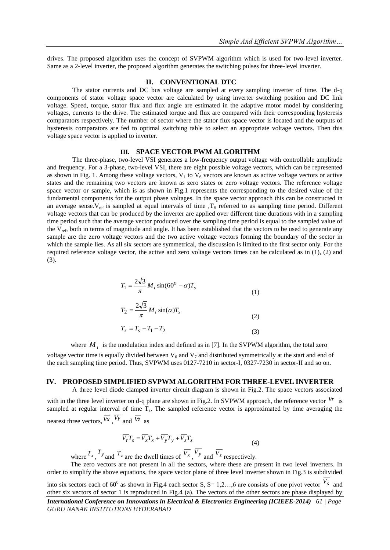drives. The proposed algorithm uses the concept of SVPWM algorithm which is used for two-level inverter. Same as a 2-level inverter, the proposed algorithm generates the switching pulses for three-level inverter.

#### **II. CONVENTIONAL DTC**

The stator currents and DC bus voltage are sampled at every sampling inverter of time. The d-q components of stator voltage space vector are calculated by using inverter switching position and DC link voltage. Speed, torque, stator flux and flux angle are estimated in the adaptive motor model by considering voltages, currents to the drive. The estimated torque and flux are compared with their corresponding hysteresis comparators respectively. The number of sector where the stator flux space vector is located and the outputs of hysteresis comparators are fed to optimal switching table to select an appropriate voltage vectors. Then this voltage space vector is applied to inverter.

#### **III. SPACE VECTOR PWM ALGORITHM**

The three-phase, two-level VSI generates a low-frequency output voltage with controllable amplitude and frequency. For a 3-phase, two-level VSI, there are eight possible voltage vectors, which can be represented as shown in Fig. 1. Among these voltage vectors,  $V_1$  to  $V_6$  vectors are known as active voltage vectors or active states and the remaining two vectors are known as zero states or zero voltage vectors. The reference voltage space vector or sample, which is as shown in Fig.1 represents the corresponding to the desired value of the fundamental components for the output phase voltages. In the space vector approach this can be constructed in an average sense. $V_{ref}$  is sampled at equal intervals of time , $T_S$  referred to as sampling time period. Different voltage vectors that can be produced by the inverter are applied over different time durations with in a sampling time period such that the average vector produced over the sampling time period is equal to the sampled value of the  $V_{ref}$ , both in terms of magnitude and angle. It has been established that the vectors to be used to generate any sample are the zero voltage vectors and the two active voltage vectors forming the boundary of the sector in which the sample lies. As all six sectors are symmetrical, the discussion is limited to the first sector only. For the required reference voltage vector, the active and zero voltage vectors times can be calculated as in (1), (2) and (3).

$$
T_1 = \frac{2\sqrt{3}}{\pi} M_i \sin(60^\circ - \alpha) T_s \tag{1}
$$

$$
T_2 = \frac{2\sqrt{3}}{\pi} M_i \sin(\alpha) T_s \tag{2}
$$

$$
T_z = T_s - T_1 - T_2 \tag{3}
$$

where  $M_i$  is the modulation index and defined as in [7]. In the SVPWM algorithm, the total zero voltage vector time is equally divided between  $V_0$  and  $V_7$  and distributed symmetrically at the start and end of the each sampling time period. Thus, SVPWM uses 0127-7210 in sector-I, 0327-7230 in sector-II and so on.

### **IV. PROPOSED SIMPLIFIED SVPWM ALGORITHM FOR THREE-LEVEL INVERTER**

A three level diode clamped inverter circuit diagram is shown in Fig.2. The space vectors associated

with in the three level inverter on d-q plane are shown in Fig.2. In SVPWM approach, the reference vector  $V_r$  is sampled at regular interval of time  $T_s$ . The sampled reference vector is approximated by time averaging the nearest three vectors,  $\overline{V_x}$ ,  $\overline{V_y}$  and  $\overline{V_z}$  as

$$
\overline{V_r}T_s = \overline{V_x}T_x + \overline{V_y}T_y + \overline{V_z}T_z
$$
\n(4)

where  $T_x$ ,  $T_y$  and  $T_z$  are the dwell times of  $\overline{V_x}$ ,  $V_y$  and  $\overline{V_z}$  respectively.

The zero vectors are not present in all the sectors, where these are present in two level inverters. In order to simplify the above equations, the space vector plane of three level inverter shown in Fig.3 is subdivided into six sectors each of 60<sup>0</sup> as shown in Fig.4 each sector S, S= 1,2...,6 are consists of one pivot vector  $V_s$  and other six vectors of sector 1 is reproduced in Fig.4 (a). The vectors of the other sectors are phase displayed by

*International Conference on Innovations in Electrical & Electronics Engineering (ICIEEE-2014) 61 | Page GURU NANAK INSTITUTIONS HYDERABAD*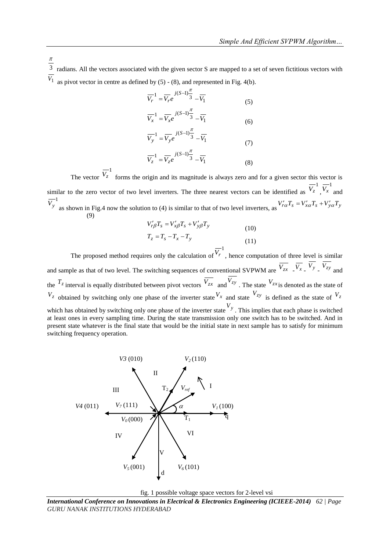3 radians. All the vectors associated with the given sector S are mapped to a set of seven fictitious vectors with *V*1 as pivot vector in centre as defined by  $(5) - (8)$ , and represented in Fig. 4(b).

π

$$
\overline{V}_r^1 = \overline{V}_r e^{j(S-1)\frac{\pi}{3}} - \overline{V}_1
$$
\n(5)

$$
\overline{V_x}^1 = \overline{V_x} e^{j(S-1)\frac{\pi}{3}} - \overline{V_1}
$$
 (6)

$$
\overline{V}_{y}^{-1} = \overline{V}_{y} e^{-j(S-1)\frac{\pi}{3}} - \overline{V}_{1}
$$
\n(7)

$$
\overline{V}_z^{-1} = \overline{V}_z e^{j(S-1)\frac{\pi}{3}} - \overline{V}_1
$$
\n(8)

The vector  $\overline{V}_z^{-1}$  forms the origin and its magnitude is always zero and for a given sector this vector is similar to the zero vector of two level inverters. The three nearest vectors can be identified as  $\overline{V_z}^1$ ,  $\overline{V_x}^1$  and  $\overline{V_y}^1$  as shown in Fig.4 now the solution to (4) is similar to that of two level inverters, as  $V_{r\alpha}^{\prime}T_s = V_{x\alpha}^{\prime}T_s + V_{y\alpha}^{\prime}T_y$ (9)

$$
V'_{r\beta}T_s = V'_{x\beta}T_s + V'_{y\beta}T_y
$$
  
\n
$$
T_z = T_s - T_x - T_y
$$
\n(10)  
\n
$$
T_z = T_s - T_x - T_y
$$
\n(11)

The proposed method requires only the calculation of  $\overline{V}_r^1$ , hence computation of three level is similar and sample as that of two level. The switching sequences of conventional SVPWM are  $\overline{V_{zx}}$   $\overline{V_{x}}$   $\overline{V_{x}}$   $\overline{V_{y}}$   $\overline{V_{zy}}$  and the  $T_z$  interval is equally distributed between pivot vectors  $\overline{V_{zx}}$  and  $V_{zy}$ . The state  $V_{zx}$  is denoted as the state of  $V_z$  obtained by switching only one phase of the inverter state  $V_x$  and state  $V_{zy}$  is defined as the state of  $V_z$ which has obtained by switching only one phase of the inverter state  $V_y$ . This implies that each phase is switched at least ones in every sampling time. During the state transmission only one switch has to be switched. And in present state whatever is the final state that would be the initial state in next sample has to satisfy for minimum switching frequency operation.



fig. 1 possible voltage space vectors for 2-level vsi

*International Conference on Innovations in Electrical & Electronics Engineering (ICIEEE-2014) 62 | Page GURU NANAK INSTITUTIONS HYDERABAD*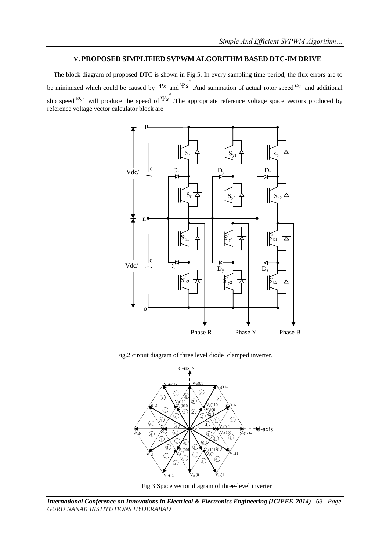## **V. PROPOSED SIMPLIFIED SVPWM ALGORITHM BASED DTC-IM DRIVE**

The block diagram of proposed DTC is shown in Fig.5. In every sampling time period, the flux errors are to be minimized which could be caused by  $\mathcal{Y}_s$  and  $\overline{\Psi_s}^*$ . And summation of actual rotor speed  $\mathcal{O}_r$  and additional slip speed  $\mathcal{O}_{s}$  will produce the speed of  $\overline{\Psi_s}^*$ . The appropriate reference voltage space vectors produced by reference voltage vector calculator block are



Fig.2 circuit diagram of three level diode clamped inverter.





*International Conference on Innovations in Electrical & Electronics Engineering (ICIEEE-2014) 63 | Page GURU NANAK INSTITUTIONS HYDERABAD*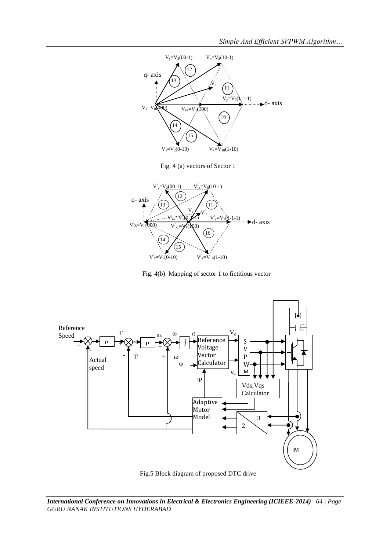

Fig. 4(b) Mapping of sector 1 to fictitious vector



Fig.5 Block diagram of proposed DTC drive

*International Conference on Innovations in Electrical & Electronics Engineering (ICIEEE-2014) 64 | Page GURU NANAK INSTITUTIONS HYDERABAD*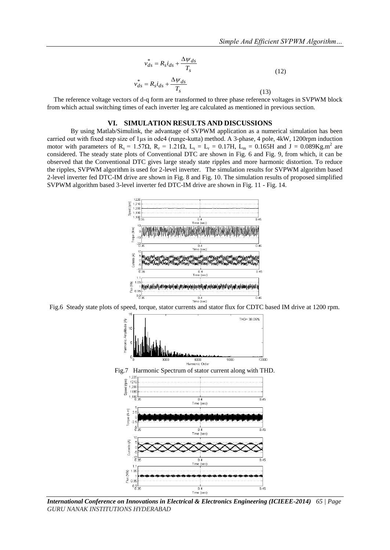$$
v_{ds}^{*} = R_{s}i_{ds} + \frac{\Delta \psi_{ds}}{T_{s}}
$$
\n
$$
v_{ds}^{*} = R_{s}i_{ds} + \frac{\Delta \psi_{ds}}{T_{s}}
$$
\n(12)

The reference voltage vectors of d-q form are transformed to three phase reference voltages in SVPWM block from which actual switching times of each inverter leg are calculated as mentioned in previous section.

#### **VI. SIMULATION RESULTS AND DISCUSSIONS**

By using Matlab/Simulink, the advantage of SVPWM application as a numerical simulation has been carried out with fixed step size of 1μs in ode4 (runge-kutta) method. A 3-phase, 4 pole, 4kW, 1200rpm induction motor with parameters of R<sub>s</sub> = 1.57Ω, R<sub>r</sub> = 1.21Ω, L<sub>s</sub> = L<sub>r</sub> = 0.17H, L<sub>m</sub> = 0.165H and J = 0.089Kg.m<sup>2</sup> are considered. The steady state plots of Conventional DTC are shown in Fig. 6 and Fig. 9, from which, it can be observed that the Conventional DTC gives large steady state ripples and more harmonic distortion. To reduce the ripples, SVPWM algorithm is used for 2-level inverter. The simulation results for SVPWM algorithm based 2-level inverter fed DTC-IM drive are shown in Fig. 8 and Fig. 10. The simulation results of proposed simplified SVPWM algorithm based 3-level inverter fed DTC-IM drive are shown in Fig. 11 - Fig. 14.



Fig.6 Steady state plots of speed, torque, stator currents and stator flux for CDTC based IM drive at 1200 rpm.



*International Conference on Innovations in Electrical & Electronics Engineering (ICIEEE-2014) 65 | Page GURU NANAK INSTITUTIONS HYDERABAD*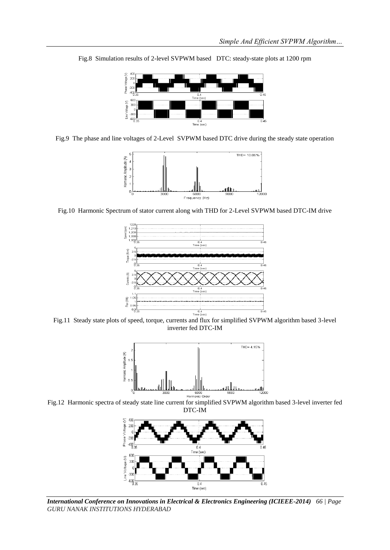

Fig.8 Simulation results of 2-level SVPWM based DTC: steady-state plots at 1200 rpm

Fig.9 The phase and line voltages of 2-Level SVPWM based DTC drive during the steady state operation



Fig.10 Harmonic Spectrum of stator current along with THD for 2-Level SVPWM based DTC-IM drive



Fig.11 Steady state plots of speed, torque, currents and flux for simplified SVPWM algorithm based 3-level inverter fed DTC-IM



Fig.12 Harmonic spectra of steady state line current for simplified SVPWM algorithm based 3-level inverter fed DTC-IM



*International Conference on Innovations in Electrical & Electronics Engineering (ICIEEE-2014) 66 | Page GURU NANAK INSTITUTIONS HYDERABAD*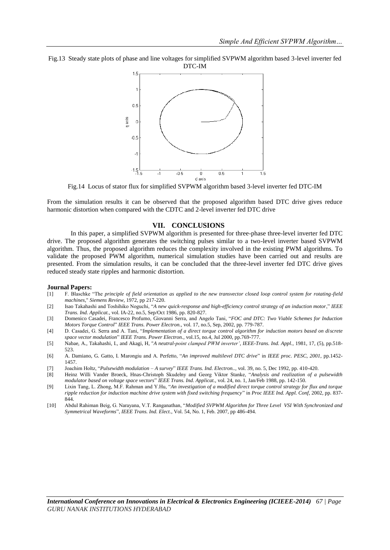Fig.13 Steady state plots of phase and line voltages for simplified SVPWM algorithm based 3-level inverter fed DTC-IM



Fig.14 Locus of stator flux for simplified SVPWM algorithm based 3-level inverter fed DTC-IM

From the simulation results it can be observed that the proposed algorithm based DTC drive gives reduce harmonic distortion when compared with the CDTC and 2-level inverter fed DTC drive

### **VII. CONCLUSIONS**

In this paper, a simplified SVPWM algorithm is presented for three-phase three-level inverter fed DTC drive. The proposed algorithm generates the switching pulses similar to a two-level inverter based SVPWM algorithm. Thus, the proposed algorithm reduces the complexity involved in the existing PWM algorithms. To validate the proposed PWM algorithm, numerical simulation studies have been carried out and results are presented. From the simulation results, it can be concluded that the three-level inverter fed DTC drive gives reduced steady state ripples and harmonic distortion.

#### **Journal Papers:**

- [1] F. Blaschke "The *principle of field orientation as applied to the new transvector closed loop control system for rotating-field machines*," *Siemens Review*, 1972, pp 217-220.
- [2] Isao Takahashi and Toshihiko Noguchi, "*A new quick-response and high-efficiency control strategy of an induction motor*," *IEEE Trans. Ind. Applicat.*, vol. IA-22, no.5, Sep/Oct 1986, pp. 820-827.
- [3] Domenico Casadei*,* Francesco Profumo*,* Giovanni Serra*,* and Angelo Tani, "*FOC and DTC: Two Viable Schemes for Induction Motors Torque Control*" *IEEE Trans. Power Electron.,* vol. 17, no.5, Sep, 2002, pp. 779-787.
- [4] D. Casadei, G. Serra and A. Tani, "*Implementation of a direct torque control algorithm for induction motors based on discrete space vector modulation*" *IEEE Trans. Power Electron.,* vol.15, no.4, Jul 2000, pp.769-777.
- [5] Nabae, A., Takahashi, I., and Akagi, H, "*A neutral-point clamped PWM inverter'*, *IEEE-Trans. Ind. Appl.*, 1981, 17, (5), pp.518- 523.
- [6] A. Damiano, G. Gatto, I. Marongiu and A. Perfetto, "*An improved multilevel DTC drive*" in *IEEE proc. PESC, 2001,* pp.1452- 1457.
- [7] Joachim Holtz, "*Pulsewidth modulation – A survey*" *IEEE Trans. Ind. Electron..,* vol. 39, no. 5, Dec 1992, pp. 410-420.
- [8] Heinz Willi Vander Broeck, Hnas-Christoph Skudelny and Georg Viktor Stanke, "*Analysis and realization of a pulsewidth modulator based on voltage space vectors*" *IEEE Trans. Ind. Applicat.,* vol. 24, no. 1, Jan/Feb 1988, pp. 142-150.
- [9] Lixin Tang, L. Zhong, M.F. Rahman and Y.Hu, "*An investigation of a modified direct torque control strategy for flux and torque ripple reduction for induction machine drive system with fixed switching frequency*" in *Proc IEEE Ind. Appl. Conf,* 2002, pp*.* 837- 844.
- [10] Abdul Rahiman Beig, G. Narayana, V.T. Ranganathan, "*Modified SVPWM Algorithm for Three Level VSI With Synchronized and Symmetrical Waveforms*", *IEEE Trans. Ind. Elect.*, Vol. 54, No. 1, Feb. 2007, pp 486-494.